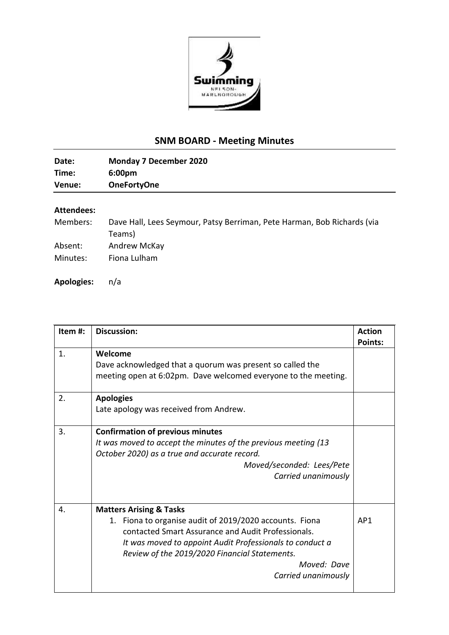

## **SNM BOARD - Meeting Minutes**

| Date:  | <b>Monday 7 December 2020</b> |
|--------|-------------------------------|
| Time:  | 6:00 <sub>pm</sub>            |
| Venue: | <b>OneFortyOne</b>            |

## **Attendees:**

| Members: | Dave Hall, Lees Seymour, Patsy Berriman, Pete Harman, Bob Richards (via |
|----------|-------------------------------------------------------------------------|
|          | Teams)                                                                  |
| Absent:  | Andrew McKay                                                            |
| Minutes: | Fiona Lulham                                                            |
|          |                                                                         |

**Apologies:** n/a

| Item#: | <b>Discussion:</b>                                             | <b>Action</b>  |
|--------|----------------------------------------------------------------|----------------|
|        |                                                                | <b>Points:</b> |
| 1.     | Welcome                                                        |                |
|        | Dave acknowledged that a quorum was present so called the      |                |
|        | meeting open at 6:02pm. Dave welcomed everyone to the meeting. |                |
| 2.     | <b>Apologies</b>                                               |                |
|        | Late apology was received from Andrew.                         |                |
| 3.     | <b>Confirmation of previous minutes</b>                        |                |
|        | It was moved to accept the minutes of the previous meeting (13 |                |
|        | October 2020) as a true and accurate record.                   |                |
|        | Moved/seconded: Lees/Pete                                      |                |
|        | Carried unanimously                                            |                |
| 4.     | <b>Matters Arising &amp; Tasks</b>                             |                |
|        | 1. Fiona to organise audit of 2019/2020 accounts. Fiona        | AP1            |
|        | contacted Smart Assurance and Audit Professionals.             |                |
|        | It was moved to appoint Audit Professionals to conduct a       |                |
|        | Review of the 2019/2020 Financial Statements.                  |                |
|        | Moved: Dave                                                    |                |
|        | Carried unanimously                                            |                |
|        |                                                                |                |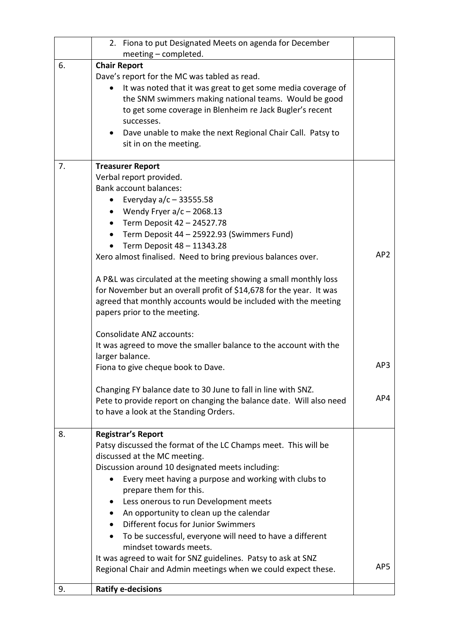|    | 2. Fiona to put Designated Meets on agenda for December<br>meeting - completed. |                 |
|----|---------------------------------------------------------------------------------|-----------------|
| 6. | <b>Chair Report</b>                                                             |                 |
|    | Dave's report for the MC was tabled as read.                                    |                 |
|    | It was noted that it was great to get some media coverage of                    |                 |
|    | the SNM swimmers making national teams. Would be good                           |                 |
|    | to get some coverage in Blenheim re Jack Bugler's recent                        |                 |
|    | successes.                                                                      |                 |
|    | Dave unable to make the next Regional Chair Call. Patsy to                      |                 |
|    | sit in on the meeting.                                                          |                 |
| 7. | <b>Treasurer Report</b>                                                         |                 |
|    | Verbal report provided.                                                         |                 |
|    | <b>Bank account balances:</b>                                                   |                 |
|    | Everyday $a/c - 33555.58$                                                       |                 |
|    | Wendy Fryer $a/c - 2068.13$                                                     |                 |
|    | Term Deposit 42 - 24527.78<br>$\bullet$                                         |                 |
|    | Term Deposit 44 - 25922.93 (Swimmers Fund)                                      |                 |
|    | Term Deposit 48 - 11343.28                                                      | AP <sub>2</sub> |
|    | Xero almost finalised. Need to bring previous balances over.                    |                 |
|    | A P&L was circulated at the meeting showing a small monthly loss                |                 |
|    | for November but an overall profit of \$14,678 for the year. It was             |                 |
|    | agreed that monthly accounts would be included with the meeting                 |                 |
|    | papers prior to the meeting.                                                    |                 |
|    | Consolidate ANZ accounts:                                                       |                 |
|    | It was agreed to move the smaller balance to the account with the               |                 |
|    | larger balance.                                                                 | AP3             |
|    | Fiona to give cheque book to Dave.                                              |                 |
|    | Changing FY balance date to 30 June to fall in line with SNZ.                   |                 |
|    | Pete to provide report on changing the balance date. Will also need             | AP4             |
|    | to have a look at the Standing Orders.                                          |                 |
| 8. | <b>Registrar's Report</b>                                                       |                 |
|    | Patsy discussed the format of the LC Champs meet. This will be                  |                 |
|    | discussed at the MC meeting.                                                    |                 |
|    | Discussion around 10 designated meets including:                                |                 |
|    | Every meet having a purpose and working with clubs to                           |                 |
|    | prepare them for this.                                                          |                 |
|    | Less onerous to run Development meets                                           |                 |
|    | An opportunity to clean up the calendar<br>Different focus for Junior Swimmers  |                 |
|    | To be successful, everyone will need to have a different<br>$\bullet$           |                 |
|    | mindset towards meets.                                                          |                 |
|    | It was agreed to wait for SNZ guidelines. Patsy to ask at SNZ                   |                 |
|    | Regional Chair and Admin meetings when we could expect these.                   | AP <sub>5</sub> |
| 9. | <b>Ratify e-decisions</b>                                                       |                 |